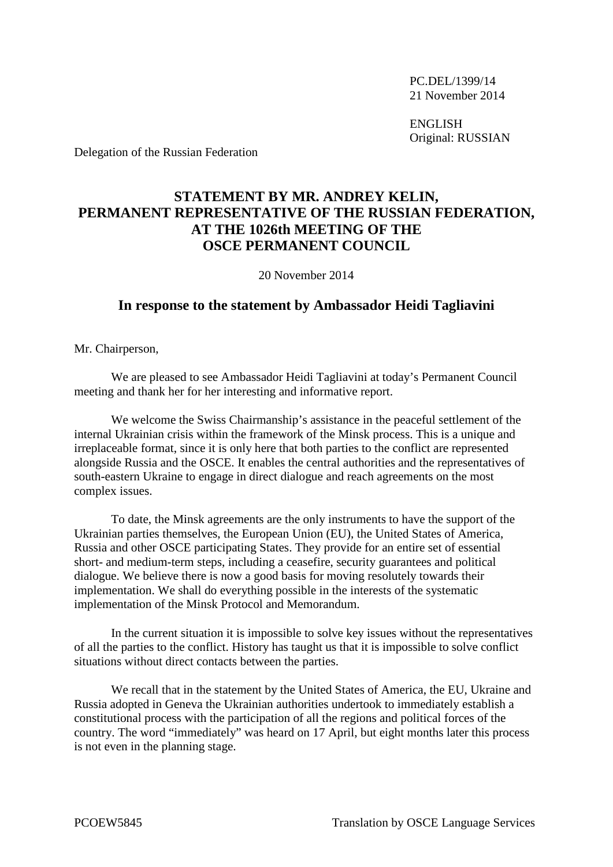PC.DEL/1399/14 21 November 2014

ENGLISH Original: RUSSIAN

Delegation of the Russian Federation

## **STATEMENT BY MR. ANDREY KELIN, PERMANENT REPRESENTATIVE OF THE RUSSIAN FEDERATION, AT THE 1026th MEETING OF THE OSCE PERMANENT COUNCIL**

20 November 2014

## **In response to the statement by Ambassador Heidi Tagliavini**

Mr. Chairperson,

We are pleased to see Ambassador Heidi Tagliavini at today's Permanent Council meeting and thank her for her interesting and informative report.

We welcome the Swiss Chairmanship's assistance in the peaceful settlement of the internal Ukrainian crisis within the framework of the Minsk process. This is a unique and irreplaceable format, since it is only here that both parties to the conflict are represented alongside Russia and the OSCE. It enables the central authorities and the representatives of south-eastern Ukraine to engage in direct dialogue and reach agreements on the most complex issues.

To date, the Minsk agreements are the only instruments to have the support of the Ukrainian parties themselves, the European Union (EU), the United States of America, Russia and other OSCE participating States. They provide for an entire set of essential short- and medium-term steps, including a ceasefire, security guarantees and political dialogue. We believe there is now a good basis for moving resolutely towards their implementation. We shall do everything possible in the interests of the systematic implementation of the Minsk Protocol and Memorandum.

In the current situation it is impossible to solve key issues without the representatives of all the parties to the conflict. History has taught us that it is impossible to solve conflict situations without direct contacts between the parties.

We recall that in the statement by the United States of America, the EU, Ukraine and Russia adopted in Geneva the Ukrainian authorities undertook to immediately establish a constitutional process with the participation of all the regions and political forces of the country. The word "immediately" was heard on 17 April, but eight months later this process is not even in the planning stage.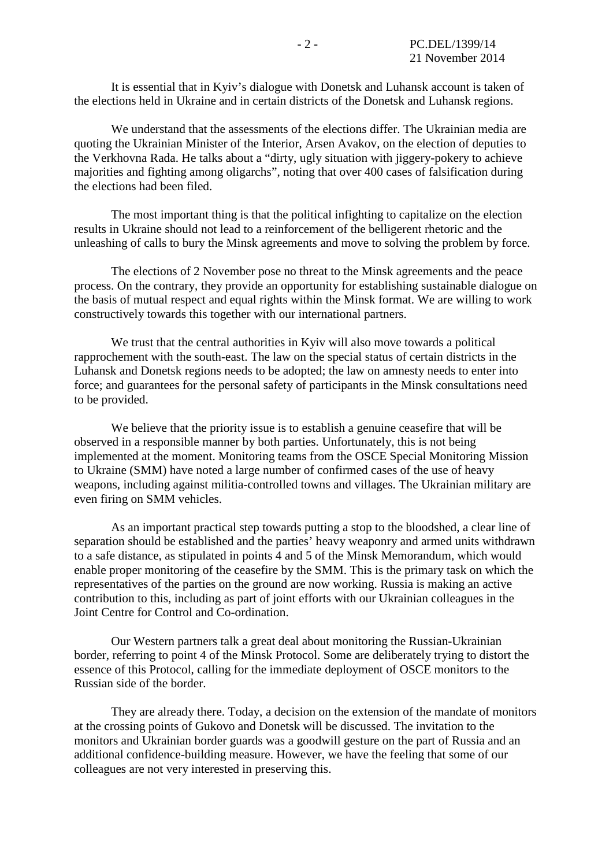It is essential that in Kyiv's dialogue with Donetsk and Luhansk account is taken of the elections held in Ukraine and in certain districts of the Donetsk and Luhansk regions.

We understand that the assessments of the elections differ. The Ukrainian media are quoting the Ukrainian Minister of the Interior, Arsen Avakov, on the election of deputies to the Verkhovna Rada. He talks about a "dirty, ugly situation with jiggery-pokery to achieve majorities and fighting among oligarchs", noting that over 400 cases of falsification during the elections had been filed.

The most important thing is that the political infighting to capitalize on the election results in Ukraine should not lead to a reinforcement of the belligerent rhetoric and the unleashing of calls to bury the Minsk agreements and move to solving the problem by force.

The elections of 2 November pose no threat to the Minsk agreements and the peace process. On the contrary, they provide an opportunity for establishing sustainable dialogue on the basis of mutual respect and equal rights within the Minsk format. We are willing to work constructively towards this together with our international partners.

We trust that the central authorities in Kyiv will also move towards a political rapprochement with the south-east. The law on the special status of certain districts in the Luhansk and Donetsk regions needs to be adopted; the law on amnesty needs to enter into force; and guarantees for the personal safety of participants in the Minsk consultations need to be provided.

We believe that the priority issue is to establish a genuine ceasefire that will be observed in a responsible manner by both parties. Unfortunately, this is not being implemented at the moment. Monitoring teams from the OSCE Special Monitoring Mission to Ukraine (SMM) have noted a large number of confirmed cases of the use of heavy weapons, including against militia-controlled towns and villages. The Ukrainian military are even firing on SMM vehicles.

As an important practical step towards putting a stop to the bloodshed, a clear line of separation should be established and the parties' heavy weaponry and armed units withdrawn to a safe distance, as stipulated in points 4 and 5 of the Minsk Memorandum, which would enable proper monitoring of the ceasefire by the SMM. This is the primary task on which the representatives of the parties on the ground are now working. Russia is making an active contribution to this, including as part of joint efforts with our Ukrainian colleagues in the Joint Centre for Control and Co-ordination.

Our Western partners talk a great deal about monitoring the Russian-Ukrainian border, referring to point 4 of the Minsk Protocol. Some are deliberately trying to distort the essence of this Protocol, calling for the immediate deployment of OSCE monitors to the Russian side of the border.

They are already there. Today, a decision on the extension of the mandate of monitors at the crossing points of Gukovo and Donetsk will be discussed. The invitation to the monitors and Ukrainian border guards was a goodwill gesture on the part of Russia and an additional confidence-building measure. However, we have the feeling that some of our colleagues are not very interested in preserving this.